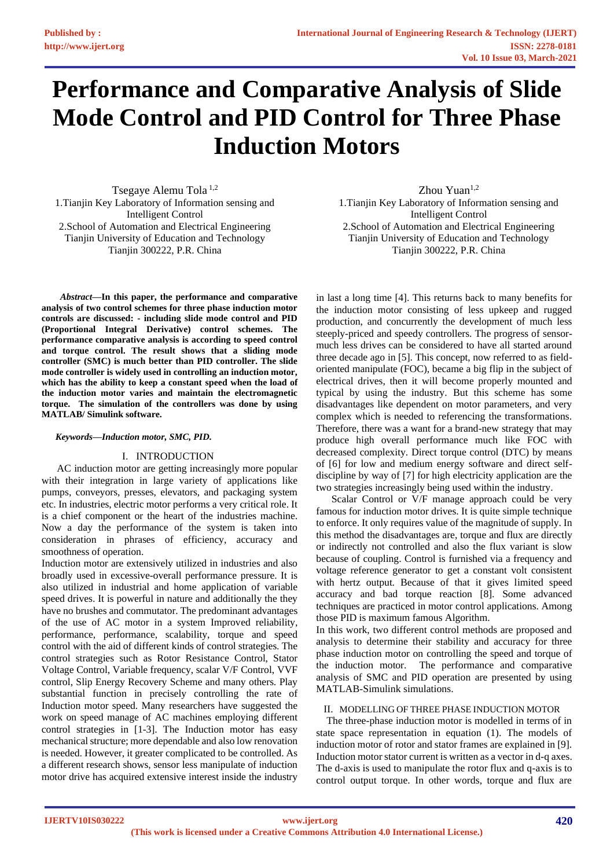# **Performance and Comparative Analysis of Slide Mode Control and PID Control for Three Phase Induction Motors**

Tsegaye Alemu Tola 1,2 1.Tianjin Key Laboratory of Information sensing and Intelligent Control 2.School of Automation and Electrical Engineering Tianjin University of Education and Technology Tianjin 300222, P.R. China

 *Abstract***—In this paper, the performance and comparative analysis of two control schemes for three phase induction motor controls are discussed: - including slide mode control and PID (Proportional Integral Derivative) control schemes. The performance comparative analysis is according to speed control and torque control. The result shows that a sliding mode controller (SMC) is much better than PID controller. The slide mode controller is widely used in controlling an induction motor, which has the ability to keep a constant speed when the load of the induction motor varies and maintain the electromagnetic torque. The simulation of the controllers was done by using MATLAB/ Simulink software.** 

#### *Keywords—Induction motor, SMC, PID.*

#### I. INTRODUCTION

AC induction motor are getting increasingly more popular with their integration in large variety of applications like pumps, conveyors, presses, elevators, and packaging system etc. In industries, electric motor performs a very critical role. It is a chief component or the heart of the industries machine. Now a day the performance of the system is taken into consideration in phrases of efficiency, accuracy and smoothness of operation.

Induction motor are extensively utilized in industries and also broadly used in excessive-overall performance pressure. It is also utilized in industrial and home application of variable speed drives. It is powerful in nature and additionally the they have no brushes and commutator. The predominant advantages of the use of AC motor in a system Improved reliability, performance, performance, scalability, torque and speed control with the aid of different kinds of control strategies. The control strategies such as Rotor Resistance Control, Stator Voltage Control, Variable frequency, scalar V/F Control, VVF control, Slip Energy Recovery Scheme and many others. Play substantial function in precisely controlling the rate of Induction motor speed. Many researchers have suggested the work on speed manage of AC machines employing different control strategies in [1-3]. The Induction motor has easy mechanical structure; more dependable and also low renovation is needed. However, it greater complicated to be controlled. As a different research shows, sensor less manipulate of induction motor drive has acquired extensive interest inside the industry

Zhou Yuan $1,2$ 1.Tianjin Key Laboratory of Information sensing and Intelligent Control 2.School of Automation and Electrical Engineering Tianjin University of Education and Technology Tianjin 300222, P.R. China

in last a long time [4]. This returns back to many benefits for the induction motor consisting of less upkeep and rugged production, and concurrently the development of much less steeply-priced and speedy controllers. The progress of sensormuch less drives can be considered to have all started around three decade ago in [5]. This concept, now referred to as fieldoriented manipulate (FOC), became a big flip in the subject of electrical drives, then it will become properly mounted and typical by using the industry. But this scheme has some disadvantages like dependent on motor parameters, and very complex which is needed to referencing the transformations. Therefore, there was a want for a brand-new strategy that may produce high overall performance much like FOC with decreased complexity. Direct torque control (DTC) by means of [6] for low and medium energy software and direct selfdiscipline by way of [7] for high electricity application are the two strategies increasingly being used within the industry.

Scalar Control or V/F manage approach could be very famous for induction motor drives. It is quite simple technique to enforce. It only requires value of the magnitude of supply. In this method the disadvantages are, torque and flux are directly or indirectly not controlled and also the flux variant is slow because of coupling. Control is furnished via a frequency and voltage reference generator to get a constant volt consistent with hertz output. Because of that it gives limited speed accuracy and bad torque reaction [8]. Some advanced techniques are practiced in motor control applications. Among those PID is maximum famous Algorithm.

In this work, two different control methods are proposed and analysis to determine their stability and accuracy for three phase induction motor on controlling the speed and torque of the induction motor. The performance and comparative analysis of SMC and PID operation are presented by using MATLAB-Simulink simulations.

# II. MODELLING OF THREE PHASE INDUCTION MOTOR

 The three-phase induction motor is modelled in terms of in state space representation in equation (1). The models of induction motor of rotor and stator frames are explained in [9]. Induction motor stator current is written as a vector in d-q axes. The d-axis is used to manipulate the rotor flux and q-axis is to control output torque. In other words, torque and flux are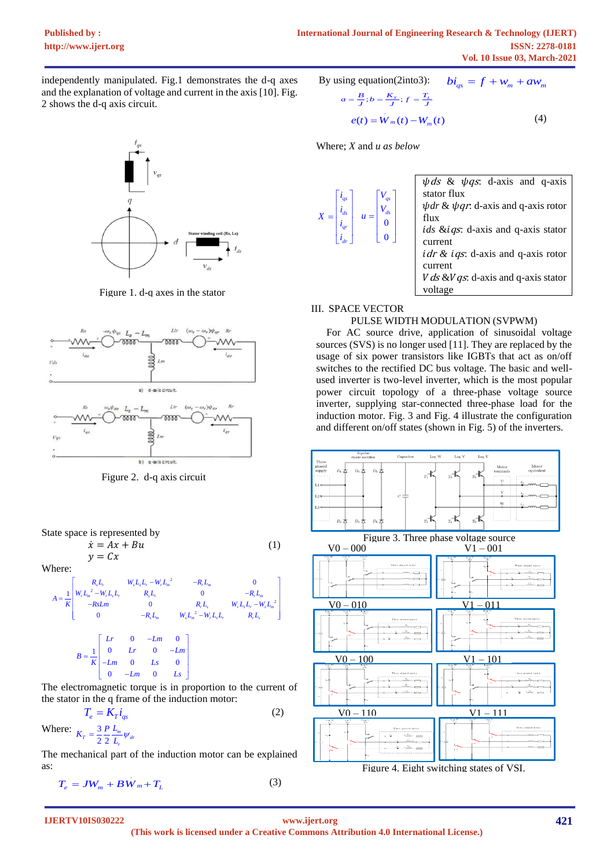independently manipulated. Fig.1 demonstrates the d-q axes and the explanation of voltage and current in the axis [10]. Fig. 2 shows the d-q axis circuit.

Figure 1. d-q axes in the stator



Figure 2. d-q axis circuit

State space is represented by

$$
\dot{x} = Ax + Bu
$$
  
\n
$$
y = Cx
$$
 (1)

Where:

There:

\n
$$
y = Cx
$$
\nhere:

\n
$$
A = \frac{1}{K} \begin{bmatrix}\nR_{x}L_{r} & W_{x}L_{x}L_{r} - W_{r}L_{m}^{2} & -R_{r}L_{m} & 0 \\
W_{r}L_{m}^{2} - W_{r}L_{x}L_{r} & R_{x}L_{r} & 0 & -R_{r}L_{m} \\
-R_{s}L_{m} & 0 & R_{r}L_{s} & W_{r}L_{x}L_{r} - W_{x}L_{m}^{2} \\
0 & -R_{s}L_{m} & W_{s}L_{m}^{2} - W_{r}L_{s}L_{r} & R_{r}L_{s}\n\end{bmatrix}
$$
\n
$$
B = \frac{1}{K} \begin{bmatrix}\nLr & 0 & -Lm & 0 \\
0 & Lr & 0 & -Lm \\
-Lm & 0 & Ls & 0 \\
0 & -Lm & 0 & Ls\n\end{bmatrix}
$$

The electromagnetic torque is in proportion to the current of the stator in the q frame of the induction motor:

$$
T_e = K_T i_{qs} \tag{2}
$$

Where:  $V = \frac{3}{3}$  $V_T = \frac{3}{2} \frac{I}{2} \frac{L_m}{L_r} \psi_{dr}$  $K_T = \frac{3}{2} \frac{P}{2} \frac{L_m}{L_r} \psi_a$ 

The mechanical part of the induction motor can be explained as:

$$
T_e = JW_m + BW_m + T_L \tag{3}
$$

By using equation(2into3): 
$$
bi_{qs} = f + w_m + aw_m
$$
  
\n
$$
a = \frac{B}{J}; b = \frac{K_r}{J}; f = \frac{T_L}{J}
$$
\n
$$
e(t) = \dot{W}_m(t) - W_m(t) \tag{4}
$$

Where; *X* and *u as below*



| $\psi ds \& \psi qs$ : d-axis and q-axis         |  |  |  |  |
|--------------------------------------------------|--|--|--|--|
| stator flux                                      |  |  |  |  |
| $\psi dr \& \psi qr$ : d-axis and q-axis rotor   |  |  |  |  |
| flux                                             |  |  |  |  |
| <i>ids &amp;igs</i> : d-axis and q-axis stator   |  |  |  |  |
| current                                          |  |  |  |  |
| <i>idr &amp; iqs</i> : d-axis and q-axis rotor   |  |  |  |  |
| current                                          |  |  |  |  |
| <i>V ds &amp;V qs</i> : d-axis and q-axis stator |  |  |  |  |
| voltage                                          |  |  |  |  |

# III. SPACE VECTOR

# PULSE WIDTH MODULATION (SVPWM)

For AC source drive, application of sinusoidal voltage sources (SVS) is no longer used [11]. They are replaced by the usage of six power transistors like IGBTs that act as on/off switches to the rectified DC bus voltage. The basic and wellused inverter is two-level inverter, which is the most popular power circuit topology of a three-phase voltage source inverter, supplying star-connected three-phase load for the induction motor. Fig. 3 and Fig. 4 illustrate the configuration and different on/off states (shown in Fig. 5) of the inverters.



Figure 4. Eight switching states of VSI.

**IJERTV10IS030222**

#### **(This work is licensed under a Creative Commons Attribution 4.0 International License.) <www.ijert.org>**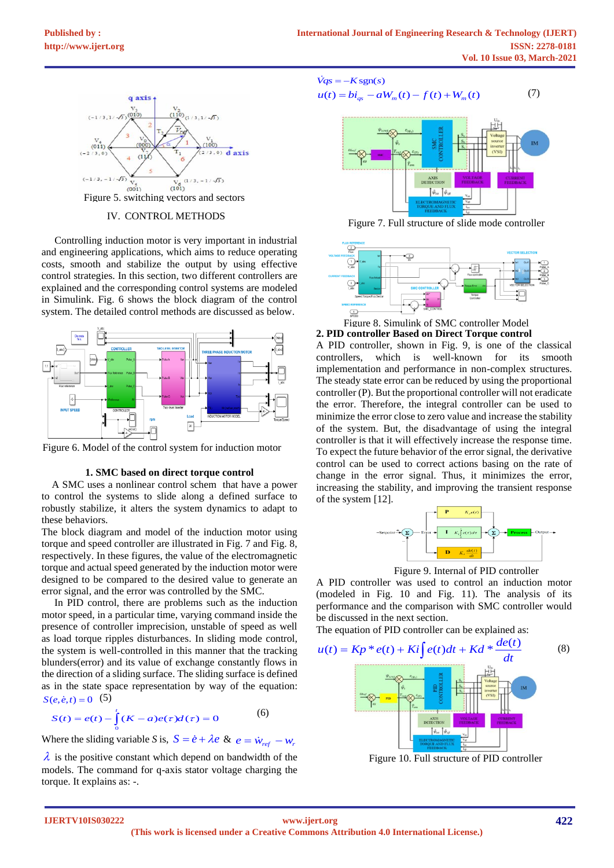

IV. CONTROL METHODS

 Controlling induction motor is very important in industrial and engineering applications, which aims to reduce operating costs, smooth and stabilize the output by using effective control strategies. In this section, two different controllers are explained and the corresponding control systems are modeled in Simulink. Fig. 6 shows the block diagram of the control system. The detailed control methods are discussed as below.



Figure 6. Model of the control system for induction motor

#### **1. SMC based on direct torque control**

A SMC uses a nonlinear control schem that have a power to control the systems to slide along a defined surface to robustly stabilize, it alters the system dynamics to adapt to these behaviors.

The block diagram and model of the induction motor using torque and speed controller are illustrated in Fig. 7 and Fig. 8, respectively. In these figures, the value of the electromagnetic torque and actual speed generated by the induction motor were designed to be compared to the desired value to generate an error signal, and the error was controlled by the SMC.

In PID control, there are problems such as the induction motor speed, in a particular time, varying command inside the presence of controller imprecision, unstable of speed as well as load torque ripples disturbances. In sliding mode control, the system is well-controlled in this manner that the tracking blunders(error) and its value of exchange constantly flows in the direction of a sliding surface. The sliding surface is defined as in the state space representation by way of the equation:  $S(e, \dot{e}, t) = 0$  (5)

$$
S(e, e, t) = 0 \quad (3)
$$
  

$$
S(t) = e(t) - \int_{0}^{t} (K - a)e(\tau)d(\tau) = 0
$$
 (6)

Where the sliding variable *S* is,  $S = \dot{e} + \lambda e \& e = \dot{w}_{ref} - w_r$ 

 $\lambda$  is the positive constant which depend on bandwidth of the models. The command for q-axis stator voltage charging the torque. It explains as: -.

$$
\dot{V}_{qs} = -K \operatorname{sgn}(s)
$$
  
u(t) = bi<sub>qs</sub> - aW<sub>m</sub>(t) - f(t) + W<sub>m</sub>(t) (7)



Figure 7. Full structure of slide mode controller



**2. PID controller Based on Direct Torque control** Figure 8. Simulink of SMC controller Model

A PID controller, shown in Fig. 9, is one of the classical controllers, which is well-known for its smooth implementation and performance in non-complex structures. The steady state error can be reduced by using the proportional controller (P). But the proportional controller will not eradicate the error. Therefore, the integral controller can be used to minimize the error close to zero value and increase the stability of the system. But, the disadvantage of using the integral controller is that it will effectively increase the response time. To expect the future behavior of the error signal, the derivative control can be used to correct actions basing on the rate of change in the error signal. Thus, it minimizes the error, increasing the stability, and improving the transient response of the system [12].



Figure 9. Internal of PID controller

A PID controller was used to control an induction motor (modeled in Fig. 10 and Fig. 11). The analysis of its performance and the comparison with SMC controller would be discussed in the next section.

The equation of PID controller can be explained as:



Figure 10. Full structure of PID controller

**IJERTV10IS030222**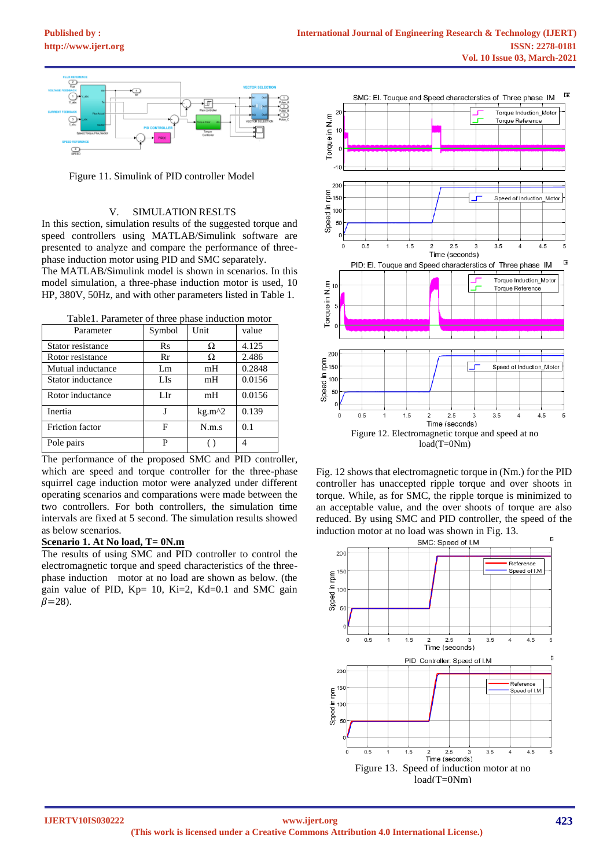**[Published by :](www.ijert.org)**



Figure 11. Simulink of PID controller Model

## V. SIMULATION RESLTS

In this section, simulation results of the suggested torque and speed controllers using MATLAB/Simulink software are presented to analyze and compare the performance of threephase induction motor using PID and SMC separately.

The MATLAB/Simulink model is shown in scenarios. In this model simulation, a three-phase induction motor is used, 10 HP, 380V, 50Hz, and with other parameters listed in Table 1.

Table1. Parameter of three phase induction motor

| Parameter         | Symbol | Unit     | value  |
|-------------------|--------|----------|--------|
| Stator resistance | Rs     | Ω        | 4.125  |
| Rotor resistance  | Rr     | Ω        | 2.486  |
| Mutual inductance | Lm     | mH       | 0.2848 |
| Stator inductance | LIs    | mH       | 0.0156 |
| Rotor inductance  | LIr    | mH       | 0.0156 |
| Inertia           |        | $kg.m^2$ | 0.139  |
| Friction factor   | F      | N.m.s    | 0.1    |
| Pole pairs        | p      |          |        |

The performance of the proposed SMC and PID controller, which are speed and torque controller for the three-phase squirrel cage induction motor were analyzed under different operating scenarios and comparations were made between the two controllers. For both controllers, the simulation time intervals are fixed at 5 second. The simulation results showed as below scenarios.

## **Scenario 1. At No load, T= 0N.m**

The results of using SMC and PID controller to control the electromagnetic torque and speed characteristics of the threephase induction motor at no load are shown as below. (the gain value of PID,  $Kp= 10$ ,  $Ki=2$ ,  $Kd=0.1$  and SMC gain  $\beta = 28$ ).



Fig. 12 shows that electromagnetic torque in (Nm.) for the PID controller has unaccepted ripple torque and over shoots in torque. While, as for SMC, the ripple torque is minimized to an acceptable value, and the over shoots of torque are also reduced. By using SMC and PID controller, the speed of the induction motor at no load was shown in Fig. 13.

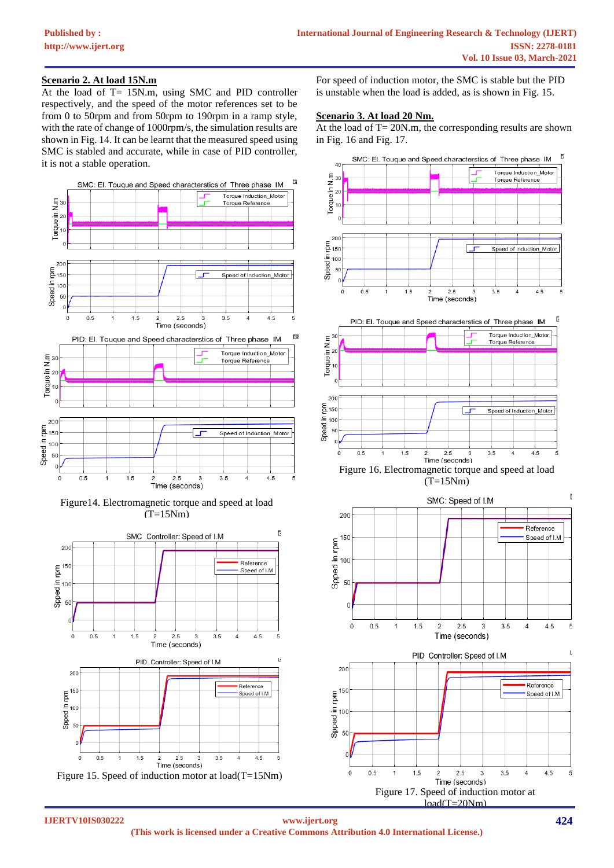# **Scenario 2. At load 15N.m**

At the load of T= 15N.m, using SMC and PID controller respectively, and the speed of the motor references set to be from 0 to 50rpm and from 50rpm to 190rpm in a ramp style, with the rate of change of 1000rpm/s, the simulation results are shown in Fig. 14. It can be learnt that the measured speed using SMC is stabled and accurate, while in case of PID controller, it is not a stable operation.



Figure14. Electromagnetic torque and speed at load  $(T=15Nm)$ 



For speed of induction motor, the SMC is stable but the PID is unstable when the load is added, as is shown in Fig. 15.

# **Scenario 3. At load 20 Nm.**

At the load of T= 20N.m, the corresponding results are shown in Fig. 16 and Fig. 17.



**(This work is licensed under a Creative Commons Attribution 4.0 International License.) <www.ijert.org>**